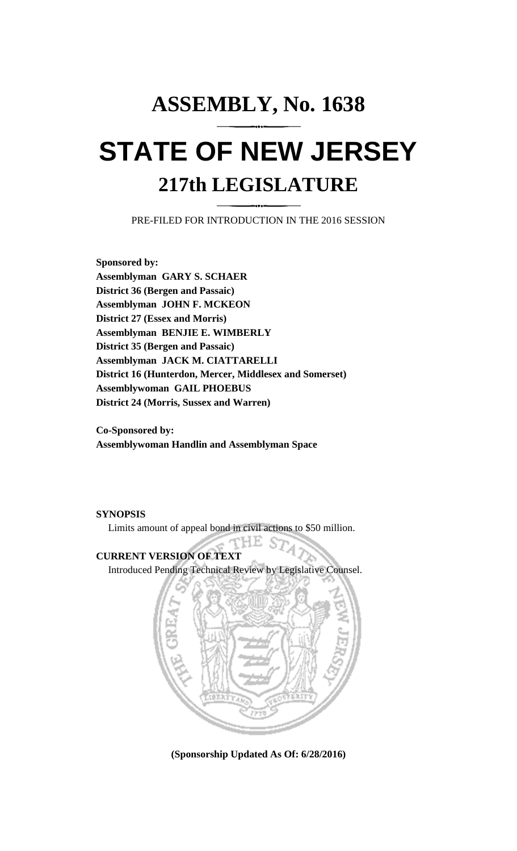# **ASSEMBLY, No. 1638 STATE OF NEW JERSEY 217th LEGISLATURE**

PRE-FILED FOR INTRODUCTION IN THE 2016 SESSION

**Sponsored by: Assemblyman GARY S. SCHAER District 36 (Bergen and Passaic) Assemblyman JOHN F. MCKEON District 27 (Essex and Morris) Assemblyman BENJIE E. WIMBERLY District 35 (Bergen and Passaic) Assemblyman JACK M. CIATTARELLI District 16 (Hunterdon, Mercer, Middlesex and Somerset) Assemblywoman GAIL PHOEBUS District 24 (Morris, Sussex and Warren)**

**Co-Sponsored by: Assemblywoman Handlin and Assemblyman Space**

### **SYNOPSIS**

Limits amount of appeal bond in civil actions to \$50 million.

rHE **CURRENT VERSION OF TEXT**  Introduced Pending Technical Review by Legislative Counsel.



**(Sponsorship Updated As Of: 6/28/2016)**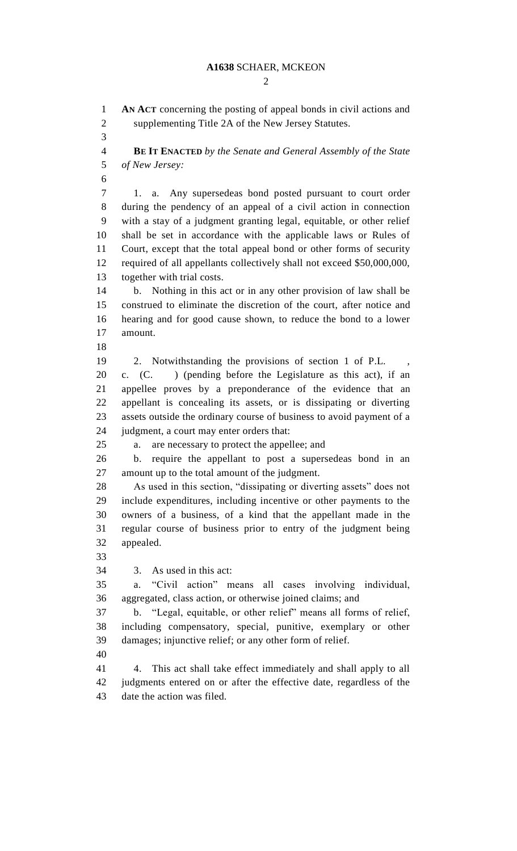#### **A1638** SCHAER, MCKEON

 $\mathcal{D}_{\mathcal{L}}$ 

 **AN ACT** concerning the posting of appeal bonds in civil actions and supplementing Title 2A of the New Jersey Statutes.

 **BE IT ENACTED** *by the Senate and General Assembly of the State of New Jersey:*

 1. a. Any supersedeas bond posted pursuant to court order during the pendency of an appeal of a civil action in connection with a stay of a judgment granting legal, equitable, or other relief shall be set in accordance with the applicable laws or Rules of Court, except that the total appeal bond or other forms of security required of all appellants collectively shall not exceed \$50,000,000, together with trial costs.

 b. Nothing in this act or in any other provision of law shall be construed to eliminate the discretion of the court, after notice and hearing and for good cause shown, to reduce the bond to a lower amount.

- 
- 2. Notwithstanding the provisions of section 1 of P.L. ,

 c. (C. ) (pending before the Legislature as this act), if an appellee proves by a preponderance of the evidence that an appellant is concealing its assets, or is dissipating or diverting assets outside the ordinary course of business to avoid payment of a 24 judgment, a court may enter orders that:

a. are necessary to protect the appellee; and

 b. require the appellant to post a supersedeas bond in an amount up to the total amount of the judgment.

 As used in this section, "dissipating or diverting assets" does not include expenditures, including incentive or other payments to the owners of a business, of a kind that the appellant made in the regular course of business prior to entry of the judgment being appealed.

3. As used in this act:

 a. "Civil action" means all cases involving individual, aggregated, class action, or otherwise joined claims; and

 b. "Legal, equitable, or other relief" means all forms of relief, including compensatory, special, punitive, exemplary or other damages; injunctive relief; or any other form of relief.

 4. This act shall take effect immediately and shall apply to all judgments entered on or after the effective date, regardless of the date the action was filed.